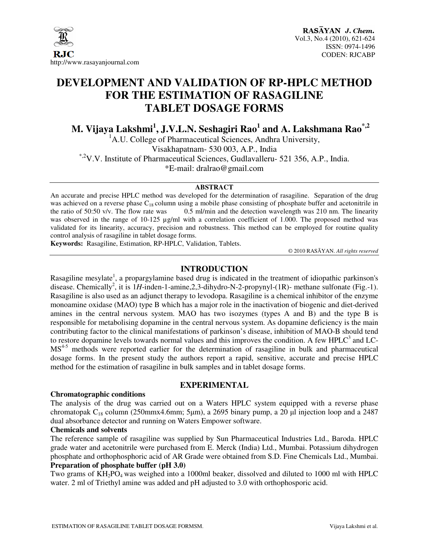

# **DEVELOPMENT AND VALIDATION OF RP-HPLC METHOD FOR THE ESTIMATION OF RASAGILINE TABLET DOSAGE FORMS**

**M. Vijaya Lakshmi<sup>1</sup> , J.V.L.N. Seshagiri Rao<sup>1</sup> and A. Lakshmana Rao\*,2** 

 ${}^{1}$ A.U. College of Pharmaceutical Sciences, Andhra University, Visakhapatnam- 530 003, A.P., India \*,2V.V. Institute of Pharmaceutical Sciences, Gudlavalleru- 521 356, A.P., India. \*E-mail: dralrao@gmail.com

#### **ABSTRACT**

An accurate and precise HPLC method was developed for the determination of rasagiline. Separation of the drug was achieved on a reverse phase  $C_{18}$  column using a mobile phase consisting of phosphate buffer and acetonitrile in the ratio of 50:50 v/v. The flow rate was  $0.5$  ml/min and the detection wavelength was 210 nm. The li  $0.5$  ml/min and the detection wavelength was 210 nm. The linearity was observed in the range of 10-125 µg/ml with a correlation coefficient of 1.000. The proposed method was validated for its linearity, accuracy, precision and robustness. This method can be employed for routine quality control analysis of rasagiline in tablet dosage forms.

**Keywords:** Rasagiline, Estimation, RP-HPLC, Validation, Tablets.

© 2010 RASĀYAN. *All rights reserved*

#### **INTRODUCTION**

Rasagiline mesylate<sup>1</sup>, a propargylamine based drug is indicated in the treatment of idiopathic parkinson's disease. Chemically<sup>2</sup>, it is 1H-inden-1-amine, 2,3-dihydro-N-2-propynyl-(1R)- methane sulfonate (Fig.-1). Rasagiline is also used as an adjunct therapy to levodopa. Rasagiline is a chemical inhibitor of the enzyme monoamine oxidase (MAO) type B which has a major role in the inactivation of biogenic and diet-derived amines in the central nervous system. MAO has two isozymes (types A and B) and the type B is responsible for metabolising dopamine in the central nervous system. As dopamine deficiency is the main contributing factor to the clinical manifestations of parkinson's disease, inhibition of MAO-B should tend to restore dopamine levels towards normal values and this improves the condition. A few HPLC $3$  and LC-MS<sup>4-5</sup> methods were reported earlier for the determination of rasagiline in bulk and pharmaceutical dosage forms. In the present study the authors report a rapid, sensitive, accurate and precise HPLC method for the estimation of rasagiline in bulk samples and in tablet dosage forms.

# **EXPERIMENTAL**

#### **Chromatographic conditions**

The analysis of the drug was carried out on a Waters HPLC system equipped with a reverse phase chromatopak  $C_{18}$  column (250mmx4.6mm; 5µm), a 2695 binary pump, a 20 µl injection loop and a 2487 dual absorbance detector and running on Waters Empower software.

#### **Chemicals and solvents**

The reference sample of rasagiline was supplied by Sun Pharmaceutical Industries Ltd., Baroda. HPLC grade water and acetonitrile were purchased from E. Merck (India) Ltd., Mumbai. Potassium dihydrogen phosphate and orthophosphoric acid of AR Grade were obtained from S.D. Fine Chemicals Ltd., Mumbai. **Preparation of phosphate buffer (pH 3.0)** 

Two grams of  $KH_2PO_4$  was weighed into a 1000ml beaker, dissolved and diluted to 1000 ml with HPLC water. 2 ml of Triethyl amine was added and pH adjusted to 3.0 with orthophosporic acid.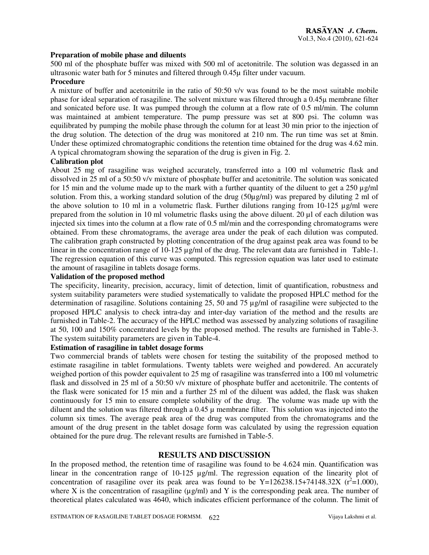#### **Preparation of mobile phase and diluents**

500 ml of the phosphate buffer was mixed with 500 ml of acetonitrile. The solution was degassed in an ultrasonic water bath for 5 minutes and filtered through 0.45µ filter under vacuum.

#### **Procedure**

A mixture of buffer and acetonitrile in the ratio of 50:50 v/v was found to be the most suitable mobile phase for ideal separation of rasagiline. The solvent mixture was filtered through a 0.45µ membrane filter and sonicated before use. It was pumped through the column at a flow rate of 0.5 ml/min. The column was maintained at ambient temperature. The pump pressure was set at 800 psi. The column was equilibrated by pumping the mobile phase through the column for at least 30 min prior to the injection of the drug solution. The detection of the drug was monitored at 210 nm. The run time was set at 8min. Under these optimized chromatographic conditions the retention time obtained for the drug was 4.62 min. A typical chromatogram showing the separation of the drug is given in Fig. 2.

#### **Calibration plot**

About 25 mg of rasagiline was weighed accurately, transferred into a 100 ml volumetric flask and dissolved in 25 ml of a 50:50 v/v mixture of phosphate buffer and acetonitrile. The solution was sonicated for 15 min and the volume made up to the mark with a further quantity of the diluent to get a 250  $\mu$ g/ml solution. From this, a working standard solution of the drug (50µg/ml) was prepared by diluting 2 ml of the above solution to 10 ml in a volumetric flask. Further dilutions ranging from  $10-125 \mu g/ml$  were prepared from the solution in 10 ml volumetric flasks using the above diluent. 20 µl of each dilution was injected six times into the column at a flow rate of 0.5 ml/min and the corresponding chromatograms were obtained. From these chromatograms, the average area under the peak of each dilution was computed. The calibration graph constructed by plotting concentration of the drug against peak area was found to be linear in the concentration range of 10-125 µg/ml of the drug. The relevant data are furnished in Table-1. The regression equation of this curve was computed. This regression equation was later used to estimate the amount of rasagiline in tablets dosage forms.

#### **Validation of the proposed method**

The specificity, linearity, precision, accuracy, limit of detection, limit of quantification, robustness and system suitability parameters were studied systematically to validate the proposed HPLC method for the determination of rasagiline. Solutions containing 25, 50 and 75 µg/ml of rasagiline were subjected to the proposed HPLC analysis to check intra-day and inter-day variation of the method and the results are furnished in Table-2. The accuracy of the HPLC method was assessed by analyzing solutions of rasagiline at 50, 100 and 150% concentrated levels by the proposed method. The results are furnished in Table-3. The system suitability parameters are given in Table-4.

### **Estimation of rasagiline in tablet dosage forms**

Two commercial brands of tablets were chosen for testing the suitability of the proposed method to estimate rasagiline in tablet formulations. Twenty tablets were weighed and powdered. An accurately weighed portion of this powder equivalent to 25 mg of rasagiline was transferred into a 100 ml volumetric flask and dissolved in 25 ml of a 50:50 v/v mixture of phosphate buffer and acetonitrile. The contents of the flask were sonicated for 15 min and a further 25 ml of the diluent was added, the flask was shaken continuously for 15 min to ensure complete solubility of the drug. The volume was made up with the diluent and the solution was filtered through a  $0.45 \mu$  membrane filter. This solution was injected into the column six times. The average peak area of the drug was computed from the chromatograms and the amount of the drug present in the tablet dosage form was calculated by using the regression equation obtained for the pure drug. The relevant results are furnished in Table-5.

#### **RESULTS AND DISCUSSION**

In the proposed method, the retention time of rasagiline was found to be 4.624 min. Quantification was linear in the concentration range of  $10-125 \mu g/ml$ . The regression equation of the linearity plot of concentration of rasagiline over its peak area was found to be  $Y=126238.15+74148.32X$  ( $r^2=1.000$ ), where X is the concentration of rasagiline ( $\mu$ g/ml) and Y is the corresponding peak area. The number of theoretical plates calculated was 4640, which indicates efficient performance of the column. The limit of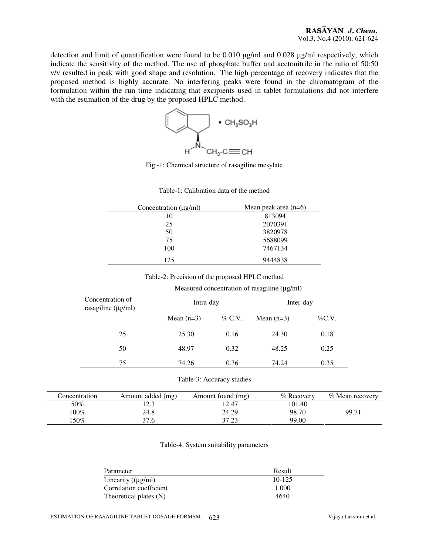detection and limit of quantification were found to be 0.010 µg/ml and 0.028 µg/ml respectively, which indicate the sensitivity of the method. The use of phosphate buffer and acetonitrile in the ratio of 50:50 v/v resulted in peak with good shape and resolution. The high percentage of recovery indicates that the proposed method is highly accurate. No interfering peaks were found in the chromatogram of the formulation within the run time indicating that excipients used in tablet formulations did not interfere with the estimation of the drug by the proposed HPLC method.



Fig.-1: Chemical structure of rasagiline mesylate

|                                             | Concentration $(\mu g/ml)$                     |                                                   | Mean peak area $(n=6)$        |           |  |
|---------------------------------------------|------------------------------------------------|---------------------------------------------------|-------------------------------|-----------|--|
|                                             | 10                                             |                                                   | 813094                        |           |  |
|                                             | 25                                             |                                                   | 2070391<br>3820978<br>5688099 |           |  |
|                                             | 50                                             |                                                   |                               |           |  |
|                                             | 75                                             |                                                   |                               |           |  |
|                                             | 100                                            | 7467134<br>9444838                                |                               |           |  |
|                                             | 125                                            |                                                   |                               |           |  |
|                                             | Table-2: Precision of the proposed HPLC method |                                                   |                               |           |  |
|                                             |                                                | Measured concentration of rasagiline $(\mu g/ml)$ |                               |           |  |
| Concentration of<br>rasagiline $(\mu g/ml)$ |                                                | Intra-day                                         |                               | Inter-day |  |
|                                             |                                                |                                                   |                               |           |  |
|                                             | Mean $(n=3)$                                   | $\%$ C.V.                                         | Mean $(n=3)$                  | $\%$ C.V. |  |
| 25                                          | 25.30                                          | 0.16                                              | 24.30                         | 0.18      |  |
| 50                                          | 48.97                                          | 0.32                                              | 48.25                         | 0.25      |  |
| 75                                          | 74.26                                          | 0.36                                              | 74.24                         | 0.35      |  |

Table-1: Calibration data of the method

| concentration | Amount added (mg) | Amount found (mg) | % Recovery | % Mean recovery |
|---------------|-------------------|-------------------|------------|-----------------|
| 50%           | 2 מ<br>ل د ک      | 12.47             | 101.40     |                 |
| 100%          | 24.8              | 24.29             | 98.70      | 99.71           |
| :50%          | 37.6              | 37.23             | 99.00      |                 |

Table-4: System suitability parameters

| Result     |
|------------|
| $10 - 125$ |
| 1.000      |
| 4640       |
|            |